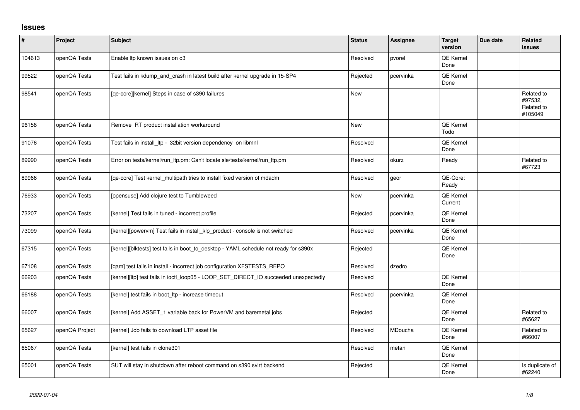## **Issues**

| $\sharp$ | Project        | <b>Subject</b>                                                                       | <b>Status</b> | <b>Assignee</b> | <b>Target</b><br>version    | Due date | <b>Related</b><br><b>issues</b>                |
|----------|----------------|--------------------------------------------------------------------------------------|---------------|-----------------|-----------------------------|----------|------------------------------------------------|
| 104613   | openQA Tests   | Enable Itp known issues on o3                                                        | Resolved      | pvorel          | QE Kernel<br>Done           |          |                                                |
| 99522    | openQA Tests   | Test fails in kdump_and_crash in latest build after kernel upgrade in 15-SP4         | Rejected      | pcervinka       | QE Kernel<br>Done           |          |                                                |
| 98541    | openQA Tests   | [qe-core][kernel] Steps in case of s390 failures                                     | <b>New</b>    |                 |                             |          | Related to<br>#97532,<br>Related to<br>#105049 |
| 96158    | openQA Tests   | Remove RT product installation workaround                                            | <b>New</b>    |                 | QE Kernel<br>Todo           |          |                                                |
| 91076    | openQA Tests   | Test fails in install_ltp - 32bit version dependency on libmnl                       | Resolved      |                 | <b>QE Kernel</b><br>Done    |          |                                                |
| 89990    | openQA Tests   | Error on tests/kernel/run_ltp.pm: Can't locate sle/tests/kernel/run_ltp.pm           | Resolved      | okurz           | Ready                       |          | Related to<br>#67723                           |
| 89966    | openQA Tests   | [qe-core] Test kernel_multipath tries to install fixed version of mdadm              | Resolved      | geor            | QE-Core:<br>Ready           |          |                                                |
| 76933    | openQA Tests   | [opensuse] Add clojure test to Tumbleweed                                            | <b>New</b>    | pcervinka       | <b>QE Kernel</b><br>Current |          |                                                |
| 73207    | openQA Tests   | [kernel] Test fails in tuned - incorrect profile                                     | Rejected      | pcervinka       | QE Kernel<br>Done           |          |                                                |
| 73099    | openQA Tests   | [kernel][powervm] Test fails in install_klp_product - console is not switched        | Resolved      | pcervinka       | QE Kernel<br>Done           |          |                                                |
| 67315    | openQA Tests   | [kernel][blktests] test fails in boot_to_desktop - YAML schedule not ready for s390x | Rejected      |                 | QE Kernel<br>Done           |          |                                                |
| 67108    | openQA Tests   | [qam] test fails in install - incorrect job configuration XFSTESTS_REPO              | Resolved      | dzedro          |                             |          |                                                |
| 66203    | openQA Tests   | [kernel][ltp] test fails in ioctl_loop05 - LOOP_SET_DIRECT_IO succeeded unexpectedly | Resolved      |                 | QE Kernel<br>Done           |          |                                                |
| 66188    | openQA Tests   | [kernel] test fails in boot_ltp - increase timeout                                   | Resolved      | pcervinka       | QE Kernel<br>Done           |          |                                                |
| 66007    | openQA Tests   | [kernel] Add ASSET_1 variable back for PowerVM and baremetal jobs                    | Rejected      |                 | QE Kernel<br>Done           |          | Related to<br>#65627                           |
| 65627    | openQA Project | [kernel] Job fails to download LTP asset file                                        | Resolved      | MDoucha         | QE Kernel<br>Done           |          | Related to<br>#66007                           |
| 65067    | openQA Tests   | [kernel] test fails in clone301                                                      | Resolved      | metan           | QE Kernel<br>Done           |          |                                                |
| 65001    | openQA Tests   | SUT will stay in shutdown after reboot command on s390 svirt backend                 | Rejected      |                 | <b>QE Kernel</b><br>Done    |          | Is duplicate of<br>#62240                      |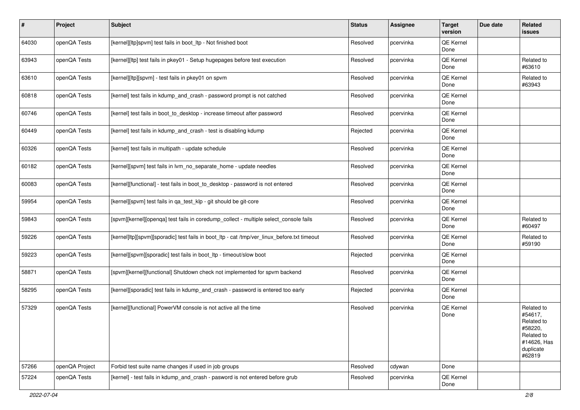| #     | Project        | <b>Subject</b>                                                                              | <b>Status</b> | Assignee  | <b>Target</b><br>version | Due date | Related<br>issues                                                                                  |
|-------|----------------|---------------------------------------------------------------------------------------------|---------------|-----------|--------------------------|----------|----------------------------------------------------------------------------------------------------|
| 64030 | openQA Tests   | [kernel][ltp]spvm] test fails in boot_ltp - Not finished boot                               | Resolved      | pcervinka | QE Kernel<br>Done        |          |                                                                                                    |
| 63943 | openQA Tests   | [kernel][ltp] test fails in pkey01 - Setup hugepages before test execution                  | Resolved      | pcervinka | QE Kernel<br>Done        |          | Related to<br>#63610                                                                               |
| 63610 | openQA Tests   | [kernel][ltp][spvm] - test fails in pkey01 on spvm                                          | Resolved      | pcervinka | QE Kernel<br>Done        |          | Related to<br>#63943                                                                               |
| 60818 | openQA Tests   | [kernel] test fails in kdump_and_crash - password prompt is not catched                     | Resolved      | pcervinka | QE Kernel<br>Done        |          |                                                                                                    |
| 60746 | openQA Tests   | [kernel] test fails in boot to desktop - increase timeout after password                    | Resolved      | pcervinka | QE Kernel<br>Done        |          |                                                                                                    |
| 60449 | openQA Tests   | [kernel] test fails in kdump_and_crash - test is disabling kdump                            | Rejected      | pcervinka | QE Kernel<br>Done        |          |                                                                                                    |
| 60326 | openQA Tests   | [kernel] test fails in multipath - update schedule                                          | Resolved      | pcervinka | QE Kernel<br>Done        |          |                                                                                                    |
| 60182 | openQA Tests   | [kernel][spvm] test fails in lvm_no_separate_home - update needles                          | Resolved      | pcervinka | QE Kernel<br>Done        |          |                                                                                                    |
| 60083 | openQA Tests   | [kernel][functional] - test fails in boot_to_desktop - password is not entered              | Resolved      | pcervinka | QE Kernel<br>Done        |          |                                                                                                    |
| 59954 | openQA Tests   | [kernel][spvm] test fails in qa_test_klp - git should be git-core                           | Resolved      | pcervinka | QE Kernel<br>Done        |          |                                                                                                    |
| 59843 | openQA Tests   | [spvm][kernel][openqa] test fails in coredump_collect - multiple select_console fails       | Resolved      | pcervinka | QE Kernel<br>Done        |          | Related to<br>#60497                                                                               |
| 59226 | openQA Tests   | [kernel]ltp][spvm][sporadic] test fails in boot_ltp - cat /tmp/ver_linux_before.txt timeout | Resolved      | pcervinka | QE Kernel<br>Done        |          | Related to<br>#59190                                                                               |
| 59223 | openQA Tests   | [kernel][spvm][sporadic] test fails in boot_ltp - timeout/slow boot                         | Rejected      | pcervinka | QE Kernel<br>Done        |          |                                                                                                    |
| 58871 | openQA Tests   | [spvm][kernel][functional] Shutdown check not implemented for spvm backend                  | Resolved      | pcervinka | QE Kernel<br>Done        |          |                                                                                                    |
| 58295 | openQA Tests   | [kernel][sporadic] test fails in kdump_and_crash - password is entered too early            | Rejected      | pcervinka | QE Kernel<br>Done        |          |                                                                                                    |
| 57329 | openQA Tests   | [kernel][functional] PowerVM console is not active all the time                             | Resolved      | pcervinka | QE Kernel<br>Done        |          | Related to<br>#54617.<br>Related to<br>#58220,<br>Related to<br>#14626, Has<br>duplicate<br>#62819 |
| 57266 | openQA Project | Forbid test suite name changes if used in job groups                                        | Resolved      | cdywan    | Done                     |          |                                                                                                    |
| 57224 | openQA Tests   | [kernel] - test fails in kdump_and_crash - pasword is not entered before grub               | Resolved      | pcervinka | QE Kernel<br>Done        |          |                                                                                                    |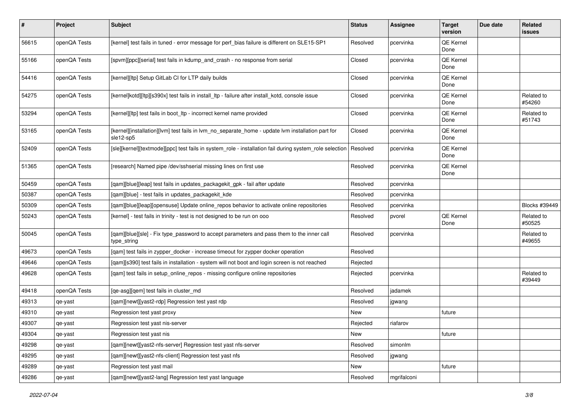| #     | Project      | <b>Subject</b>                                                                                                 | <b>Status</b> | <b>Assignee</b> | <b>Target</b><br>version | Due date | Related<br>issues    |
|-------|--------------|----------------------------------------------------------------------------------------------------------------|---------------|-----------------|--------------------------|----------|----------------------|
| 56615 | openQA Tests | [kernel] test fails in tuned - error message for perf_bias failure is different on SLE15-SP1                   | Resolved      | pcervinka       | QE Kernel<br>Done        |          |                      |
| 55166 | openQA Tests | [spvm][ppc][serial] test fails in kdump_and_crash - no response from serial                                    | Closed        | pcervinka       | QE Kernel<br>Done        |          |                      |
| 54416 | openQA Tests | [kernel][ltp] Setup GitLab CI for LTP daily builds                                                             | Closed        | pcervinka       | QE Kernel<br>Done        |          |                      |
| 54275 | openQA Tests | [kernel]kotd][ltp][s390x] test fails in install_ltp - failure after install_kotd, console issue                | Closed        | pcervinka       | QE Kernel<br>Done        |          | Related to<br>#54260 |
| 53294 | openQA Tests | [kernel][ltp] test fails in boot_ltp - incorrect kernel name provided                                          | Closed        | pcervinka       | QE Kernel<br>Done        |          | Related to<br>#51743 |
| 53165 | openQA Tests | [kernel][installation][lvm] test fails in lvm_no_separate_home - update lvm installation part for<br>sle12-sp5 | Closed        | pcervinka       | QE Kernel<br>Done        |          |                      |
| 52409 | openQA Tests | [sle][kernel][textmode][ppc] test fails in system_role - installation fail during system_role selection        | Resolved      | pcervinka       | QE Kernel<br>Done        |          |                      |
| 51365 | openQA Tests | [research] Named pipe /dev/sshserial missing lines on first use                                                | Resolved      | pcervinka       | QE Kernel<br>Done        |          |                      |
| 50459 | openQA Tests | [qam][blue][leap] test fails in updates_packagekit_gpk - fail after update                                     | Resolved      | pcervinka       |                          |          |                      |
| 50387 | openQA Tests | [gam][blue] - test fails in updates packagekit kde                                                             | Resolved      | pcervinka       |                          |          |                      |
| 50309 | openQA Tests | [qam][blue][leap][opensuse] Update online_repos behavior to activate online repositories                       | Resolved      | pcervinka       |                          |          | Blocks #39449        |
| 50243 | openQA Tests | [kernel] - test fails in trinity - test is not designed to be run on ooo                                       | Resolved      | pvorel          | QE Kernel<br>Done        |          | Related to<br>#50525 |
| 50045 | openQA Tests | [qam][blue][sle] - Fix type_password to accept parameters and pass them to the inner call<br>type_string       | Resolved      | pcervinka       |                          |          | Related to<br>#49655 |
| 49673 | openQA Tests | [qam] test fails in zypper_docker - increase timeout for zypper docker operation                               | Resolved      |                 |                          |          |                      |
| 49646 | openQA Tests | [qam][s390] test fails in installation - system will not boot and login screen is not reached                  | Rejected      |                 |                          |          |                      |
| 49628 | openQA Tests | [qam] test fails in setup_online_repos - missing configure online repositories                                 | Rejected      | pcervinka       |                          |          | Related to<br>#39449 |
| 49418 | openQA Tests | [qe-asg][qem] test fails in cluster_md                                                                         | Resolved      | jadamek         |                          |          |                      |
| 49313 | qe-yast      | [qam][newt][yast2-rdp] Regression test yast rdp                                                                | Resolved      | jgwang          |                          |          |                      |
| 49310 | qe-yast      | Regression test yast proxy                                                                                     | New           |                 | future                   |          |                      |
| 49307 | qe-yast      | Regression test yast nis-server                                                                                | Rejected      | riafarov        |                          |          |                      |
| 49304 | qe-yast      | Regression test yast nis                                                                                       | New           |                 | future                   |          |                      |
| 49298 | qe-yast      | [qam][newt][yast2-nfs-server] Regression test yast nfs-server                                                  | Resolved      | simonlm         |                          |          |                      |
| 49295 | qe-yast      | [gam][newt][yast2-nfs-client] Regression test yast nfs                                                         | Resolved      | jgwang          |                          |          |                      |
| 49289 | qe-yast      | Regression test yast mail                                                                                      | New           |                 | future                   |          |                      |
| 49286 | qe-yast      | [qam][newt][yast2-lang] Regression test yast language                                                          | Resolved      | mgrifalconi     |                          |          |                      |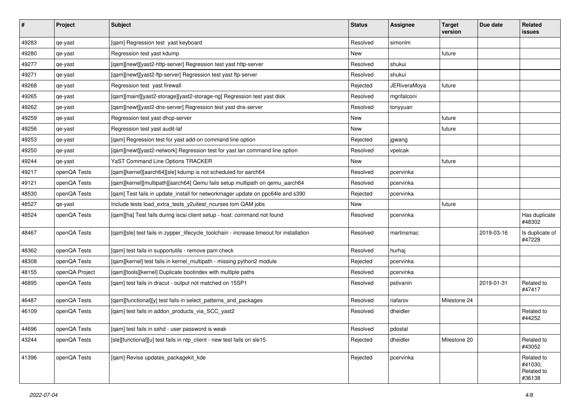| $\vert$ # | Project        | <b>Subject</b>                                                                          | <b>Status</b> | <b>Assignee</b>     | <b>Target</b><br>version | Due date   | <b>Related</b><br><b>issues</b>               |
|-----------|----------------|-----------------------------------------------------------------------------------------|---------------|---------------------|--------------------------|------------|-----------------------------------------------|
| 49283     | qe-yast        | [qam] Regression test yast keyboard                                                     | Resolved      | simonlm             |                          |            |                                               |
| 49280     | qe-yast        | Regression test yast kdump                                                              | New           |                     | future                   |            |                                               |
| 49277     | qe-yast        | [qam][newt][yast2-http-server] Regression test yast http-server                         | Resolved      | shukui              |                          |            |                                               |
| 49271     | qe-yast        | [qam][newt][yast2-ftp-server] Regression test yast ftp-server                           | Resolved      | shukui              |                          |            |                                               |
| 49268     | qe-yast        | Regression test yast firewall                                                           | Rejected      | <b>JERiveraMoya</b> | future                   |            |                                               |
| 49265     | qe-yast        | [qam][maint][yast2-storage][yast2-storage-ng] Regression test yast disk                 | Resolved      | mgrifalconi         |                          |            |                                               |
| 49262     | qe-yast        | [qam][newt][yast2-dns-server] Regression test yast dns-server                           | Resolved      | tonyyuan            |                          |            |                                               |
| 49259     | qe-yast        | Regression test yast dhcp-server                                                        | New           |                     | future                   |            |                                               |
| 49256     | qe-yast        | Regression test yast audit-laf                                                          | New           |                     | future                   |            |                                               |
| 49253     | qe-yast        | [qam] Regression test for yast add-on command line option                               | Rejected      | jgwang              |                          |            |                                               |
| 49250     | qe-yast        | [qam][newt][yast2-network] Regression test for yast lan command line option             | Resolved      | vpelcak             |                          |            |                                               |
| 49244     | qe-yast        | YaST Command Line Options TRACKER                                                       | New           |                     | future                   |            |                                               |
| 49217     | openQA Tests   | [qam][kernel][aarch64][sle] kdump is not scheduled for aarch64                          | Resolved      | pcervinka           |                          |            |                                               |
| 49121     | openQA Tests   | [qam][kernel][multipath][aarch64] Qemu fails setup multipath on qemu_aarch64            | Resolved      | pcervinka           |                          |            |                                               |
| 48530     | openQA Tests   | [qam] Test fails in update_install for networkmager update on ppc64le and s390          | Rejected      | pcervinka           |                          |            |                                               |
| 48527     | qe-yast        | Include tests load_extra_tests_y2uitest_ncurses tom QAM jobs                            | New           |                     | future                   |            |                                               |
| 48524     | openQA Tests   | [qam][ha] Test fails during iscsi client setup - host: command not found                | Resolved      | pcervinka           |                          |            | Has duplicate<br>#48302                       |
| 48467     | openQA Tests   | [qam][sle] test fails in zypper_lifecycle_toolchain - increase timeout for installation | Resolved      | martinsmac          |                          | 2019-03-16 | Is duplicate of<br>#47228                     |
| 48362     | openQA Tests   | [qam] test fails in supportutils - remove pam check                                     | Resolved      | hurhaj              |                          |            |                                               |
| 48308     | openQA Tests   | [qam][kernel] test fails in kernel_multipath - missing python2 module                   | Rejected      | pcervinka           |                          |            |                                               |
| 48155     | openQA Project | [qam][tools][kernel] Duplicate bootindex with multiple paths                            | Resolved      | pcervinka           |                          |            |                                               |
| 46895     | openQA Tests   | [qam] test fails in dracut - output not matched on 15SP1                                | Resolved      | pstivanin           |                          | 2019-01-31 | Related to<br>#47417                          |
| 46487     | openQA Tests   | [qam][functional][y] test fails in select_patterns_and_packages                         | Resolved      | riafarov            | Milestone 24             |            |                                               |
| 46109     | openQA Tests   | [qam] test fails in addon_products_via_SCC_yast2                                        | Resolved      | dheidler            |                          |            | Related to<br>#44252                          |
| 44696     | openQA Tests   | [qam] test fails in sshd - user password is weak                                        | Resolved      | pdostal             |                          |            |                                               |
| 43244     | openQA Tests   | [sle][functional][u] test fails in ntp_client - new test fails on sle15                 | Rejected      | dheidler            | Milestone 20             |            | Related to<br>#43052                          |
| 41396     | openQA Tests   | [qam] Revise updates_packagekit_kde                                                     | Rejected      | pcervinka           |                          |            | Related to<br>#41030,<br>Related to<br>#36138 |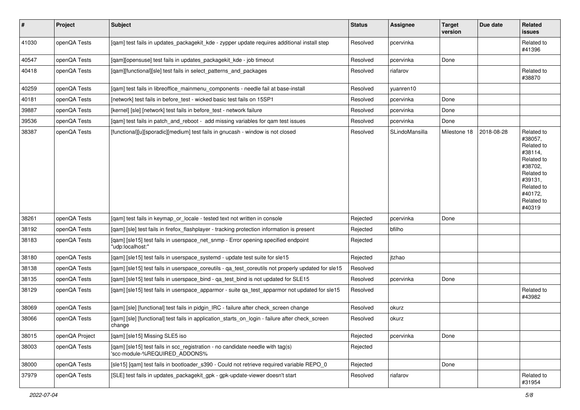| $\vert$ # | Project        | <b>Subject</b>                                                                                                  | <b>Status</b> | <b>Assignee</b> | <b>Target</b><br>version | Due date   | Related<br>issues                                                                                                                                 |
|-----------|----------------|-----------------------------------------------------------------------------------------------------------------|---------------|-----------------|--------------------------|------------|---------------------------------------------------------------------------------------------------------------------------------------------------|
| 41030     | openQA Tests   | [qam] test fails in updates_packagekit_kde - zypper update requires additional install step                     | Resolved      | pcervinka       |                          |            | Related to<br>#41396                                                                                                                              |
| 40547     | openQA Tests   | [qam][opensuse] test fails in updates_packagekit_kde - job timeout                                              | Resolved      | pcervinka       | Done                     |            |                                                                                                                                                   |
| 40418     | openQA Tests   | [qam][functional][sle] test fails in select_patterns_and_packages                                               | Resolved      | riafarov        |                          |            | Related to<br>#38870                                                                                                                              |
| 40259     | openQA Tests   | [qam] test fails in libreoffice_mainmenu_components - needle fail at base-install                               | Resolved      | yuanren10       |                          |            |                                                                                                                                                   |
| 40181     | openQA Tests   | [network] test fails in before_test - wicked basic test fails on 15SP1                                          | Resolved      | pcervinka       | Done                     |            |                                                                                                                                                   |
| 39887     | openQA Tests   | [kernel] [sle] [network] test fails in before_test - network failure                                            | Resolved      | pcervinka       | Done                     |            |                                                                                                                                                   |
| 39536     | openQA Tests   | [qam] test fails in patch_and_reboot - add missing variables for qam test issues                                | Resolved      | pcervinka       | Done                     |            |                                                                                                                                                   |
| 38387     | openQA Tests   | [functional][u][sporadic][medium] test fails in gnucash - window is not closed                                  | Resolved      | SLindoMansilla  | Milestone 18             | 2018-08-28 | Related to<br>#38057,<br>Related to<br>#38114,<br>Related to<br>#38702,<br>Related to<br>#39131,<br>Related to<br>#40172.<br>Related to<br>#40319 |
| 38261     | openQA Tests   | [gam] test fails in keymap or locale - tested text not written in console                                       | Rejected      | pcervinka       | Done                     |            |                                                                                                                                                   |
| 38192     | openQA Tests   | [qam] [sle] test fails in firefox_flashplayer - tracking protection information is present                      | Rejected      | bfilho          |                          |            |                                                                                                                                                   |
| 38183     | openQA Tests   | [qam] [sle15] test fails in userspace_net_snmp - Error opening specified endpoint<br>"udp:localhost:"           | Rejected      |                 |                          |            |                                                                                                                                                   |
| 38180     | openQA Tests   | [qam] [sle15] test fails in userspace_systemd - update test suite for sle15                                     | Rejected      | itzhao          |                          |            |                                                                                                                                                   |
| 38138     | openQA Tests   | [qam] [sle15] test fails in userspace_coreutils - qa_test_coreutils not properly updated for sle15              | Resolved      |                 |                          |            |                                                                                                                                                   |
| 38135     | openQA Tests   | [qam] [sle15] test fails in userspace_bind - qa_test_bind is not updated for SLE15                              | Resolved      | pcervinka       | Done                     |            |                                                                                                                                                   |
| 38129     | openQA Tests   | [qam] [sle15] test fails in userspace_apparmor - suite qa_test_apparmor not updated for sle15                   | Resolved      |                 |                          |            | Related to<br>#43982                                                                                                                              |
| 38069     | openQA Tests   | [gam] [sle] [functional] test fails in pidgin IRC - failure after check screen change                           | Resolved      | okurz           |                          |            |                                                                                                                                                   |
| 38066     | openQA Tests   | [qam] [sle] [functional] test fails in application_starts_on_login - failure after check_screen<br>change       | Resolved      | okurz           |                          |            |                                                                                                                                                   |
| 38015     | openQA Project | [qam] [sle15] Missing SLE5 iso                                                                                  | Rejected      | pcervinka       | Done                     |            |                                                                                                                                                   |
| 38003     | openQA Tests   | [qam] [sle15] test fails in scc_registration - no candidate needle with tag(s)<br>'scc-module-%REQUIRED_ADDONS% | Rejected      |                 |                          |            |                                                                                                                                                   |
| 38000     | openQA Tests   | [sle15] [qam] test fails in bootloader_s390 - Could not retrieve required variable REPO_0                       | Rejected      |                 | Done                     |            |                                                                                                                                                   |
| 37979     | openQA Tests   | [SLE] test fails in updates_packagekit_gpk - gpk-update-viewer doesn't start                                    | Resolved      | riafarov        |                          |            | Related to<br>#31954                                                                                                                              |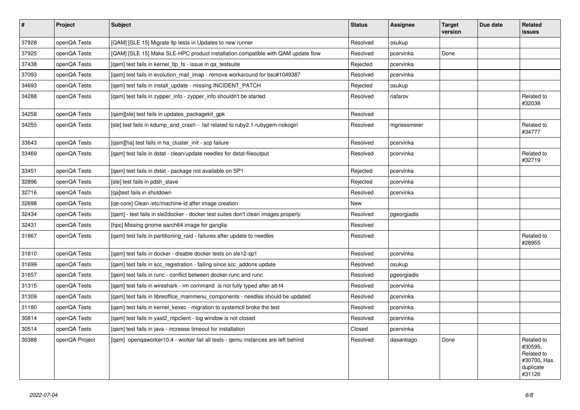| $\vert$ # | <b>Project</b> | <b>Subject</b>                                                                    | <b>Status</b> | <b>Assignee</b> | <b>Target</b><br>version | Due date | <b>Related</b><br>issues                                                  |
|-----------|----------------|-----------------------------------------------------------------------------------|---------------|-----------------|--------------------------|----------|---------------------------------------------------------------------------|
| 37928     | openQA Tests   | [QAM] [SLE 15] Migrate Itp tests in Updates to new runner                         | Resolved      | osukup          |                          |          |                                                                           |
| 37925     | openQA Tests   | [QAM] [SLE 15] Make SLE-HPC product installation compatible with QAM update flow  | Resolved      | pcervinka       | Done                     |          |                                                                           |
| 37438     | openQA Tests   | [gam] test fails in kernel_ltp_fs - issue in ga_testsuite                         | Rejected      | pcervinka       |                          |          |                                                                           |
| 37093     | openQA Tests   | [gam] test fails in evolution mail imap - remove workaround for bsc#1049387       | Resolved      | pcervinka       |                          |          |                                                                           |
| 34693     | openQA Tests   | [gam] test fails in install update - missing INCIDENT PATCH                       | Rejected      | osukup          |                          |          |                                                                           |
| 34288     | openQA Tests   | [gam] test fails in zypper info - zypper info shouldn't be started                | Resolved      | riafarov        |                          |          | Related to<br>#32038                                                      |
| 34258     | openQA Tests   | [qam][sle] test fails in updates_packagekit_gpk                                   | Resolved      |                 |                          |          |                                                                           |
| 34255     | openQA Tests   | [sle] test fails in kdump_and_crash - fail related to ruby2.1-rubygem-nokogiri    | Resolved      | mgriessmeier    |                          |          | Related to<br>#34777                                                      |
| 33643     | openQA Tests   | [gam][ha] test fails in ha cluster init - scp failure                             | Resolved      | pcervinka       |                          |          |                                                                           |
| 33469     | openQA Tests   | [gam] test fails in dstat - clean/update needles for dstat-fileoutput             | Resolved      | pcervinka       |                          |          | Related to<br>#32719                                                      |
| 33451     | openQA Tests   | [qam] test fails in dstat - package not available on SP1                          | Rejected      | pcervinka       |                          |          |                                                                           |
| 32896     | openQA Tests   | [sle] test fails in pdsh slave                                                    | Rejected      | pcervinka       |                          |          |                                                                           |
| 32716     | openQA Tests   | [ga]test fails in shutdown                                                        | Resolved      | pcervinka       |                          |          |                                                                           |
| 32698     | openQA Tests   | [ge-core] Clean /etc/machine-id after image creation                              | <b>New</b>    |                 |                          |          |                                                                           |
| 32434     | openQA Tests   | [gam] - test fails in sle2docker - docker test suites don't clean images properly | Resolved      | pgeorgiadis     |                          |          |                                                                           |
| 32431     | openQA Tests   | [hpc] Missing gnome aarch64 image for ganglia                                     | Resolved      |                 |                          |          |                                                                           |
| 31867     | openQA Tests   | [qam] test fails in partitioning_raid - failures after update to needles          | Resolved      |                 |                          |          | Related to<br>#28955                                                      |
| 31810     | openQA Tests   | [qam] test fails in docker - disable docker tests on sle12-sp1                    | Resolved      | pcervinka       |                          |          |                                                                           |
| 31699     | openQA Tests   | [gam] test fails in scc registration - failing since scc addons update            | Resolved      | osukup          |                          |          |                                                                           |
| 31657     | openQA Tests   | [gam] test fails in runc - conflict between docker-runc and runc                  | Resolved      | pgeorgiadis     |                          |          |                                                                           |
| 31315     | openQA Tests   | [qam] test fails in wireshark - rm command is not fully typed after alt-f4        | Resolved      | pcervinka       |                          |          |                                                                           |
| 31309     | openQA Tests   | [qam] test fails in libreoffice_mainmenu_components - needles should be updated   | Resolved      | pcervinka       |                          |          |                                                                           |
| 31180     | openQA Tests   | [gam] test fails in kernel kexec - migration to systemctl broke the test          | Resolved      | pcervinka       |                          |          |                                                                           |
| 30814     | openQA Tests   | [gam] test fails in yast2 ntpclient - log window is not closed                    | Resolved      | pcervinka       |                          |          |                                                                           |
| 30514     | openQA Tests   | [gam] test fails in java - increase timeout for installation                      | Closed        | pcervinka       |                          |          |                                                                           |
| 30388     | openQA Project | [gam] opengaworker10:4 - worker fail all tests - gemu instances are left behind   | Resolved      | dasantiago      | Done                     |          | Related to<br>#30595,<br>Related to<br>#30700, Has<br>duplicate<br>#31126 |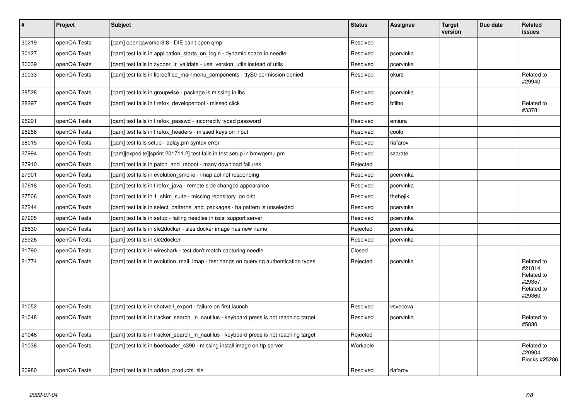| $\vert$ # | Project      | <b>Subject</b>                                                                         | <b>Status</b> | Assignee  | <b>Target</b><br>version | Due date | Related<br><b>issues</b>                                               |
|-----------|--------------|----------------------------------------------------------------------------------------|---------------|-----------|--------------------------|----------|------------------------------------------------------------------------|
| 30219     | openQA Tests | [qam] openqaworker3:8 - DIE can't open qmp                                             | Resolved      |           |                          |          |                                                                        |
| 30127     | openQA Tests | [gam] test fails in application starts on login - dynamic space in needle              | Resolved      | pcervinka |                          |          |                                                                        |
| 30039     | openQA Tests | [gam] test fails in zypper Ir validate - use version utils instead of utils            | Resolved      | pcervinka |                          |          |                                                                        |
| 30033     | openQA Tests | [gam] test fails in libreoffice mainmenu components - ttyS0 permission denied          | Resolved      | okurz     |                          |          | Related to<br>#29940                                                   |
| 28528     | openQA Tests | [gam] test fails in groupwise - package is missing in ibs                              | Resolved      | pcervinka |                          |          |                                                                        |
| 28297     | openQA Tests | [qam] test fails in firefox_developertool - missed click                               | Resolved      | bfilho    |                          |          | Related to<br>#33781                                                   |
| 28291     | openQA Tests | [qam] test fails in firefox_passwd - incorrectly typed password                        | Resolved      | emiura    |                          |          |                                                                        |
| 28288     | openQA Tests | [gam] test fails in firefox headers - missed keys on input                             | Resolved      | coolo     |                          |          |                                                                        |
| 28015     | openQA Tests | [qam] test fails setup - aplay.pm syntax error                                         | Resolved      | riafarov  |                          |          |                                                                        |
| 27994     | openQA Tests | [gam][expedite][sprint 201711.2] test fails in test setup in bmwgemu.pm                | Resolved      | szarate   |                          |          |                                                                        |
| 27910     | openQA Tests | [qam] test fails in patch_and_reboot - many download failures                          | Rejected      |           |                          |          |                                                                        |
| 27901     | openQA Tests | [qam] test fails in evolution_smoke - imap aol not responding                          | Resolved      | pcervinka |                          |          |                                                                        |
| 27618     | openQA Tests | [gam] test fails in firefox java - remote side changed appearance                      | Resolved      | pcervinka |                          |          |                                                                        |
| 27506     | openQA Tests | [qam] test fails in 1_shim_suite - missing repository on dist                          | Resolved      | thehejik  |                          |          |                                                                        |
| 27244     | openQA Tests | [gam] test fails in select patterns and packages - ha pattern is unselected            | Resolved      | pcervinka |                          |          |                                                                        |
| 27205     | openQA Tests | [qam] test fails in setup - failing needles in iscsi support server                    | Resolved      | pcervinka |                          |          |                                                                        |
| 26830     | openQA Tests | [gam] test fails in sle2docker - sles docker image has new name                        | Rejected      | pcervinka |                          |          |                                                                        |
| 25926     | openQA Tests | [qam] test fails in sle2docker                                                         | Resolved      | pcervinka |                          |          |                                                                        |
| 21790     | openQA Tests | [gam] test fails in wireshark - test don't match capturing needle                      | Closed        |           |                          |          |                                                                        |
| 21774     | openQA Tests | [qam] test fails in evolution_mail_imap - test hangs on querying authentication types  | Rejected      | pcervinka |                          |          | Related to<br>#21814,<br>Related to<br>#29357,<br>Related to<br>#29360 |
| 21052     | openQA Tests | [gam] test fails in shotwell export - failure on first launch                          | Resolved      | vsvecova  |                          |          |                                                                        |
| 21048     | openQA Tests | [qam] test fails in tracker_search_in_nautilus - keyboard press is not reaching target | Resolved      | pcervinka |                          |          | Related to<br>#5830                                                    |
| 21046     | openQA Tests | [qam] test fails in tracker_search_in_nautilus - keyboard press is not reaching target | Rejected      |           |                          |          |                                                                        |
| 21038     | openQA Tests | [gam] test fails in bootloader s390 - missing install image on ftp server              | Workable      |           |                          |          | Related to<br>#20904,<br>Blocks #25286                                 |
| 20980     | openQA Tests | [gam] test fails in addon products sle                                                 | Resolved      | riafarov  |                          |          |                                                                        |